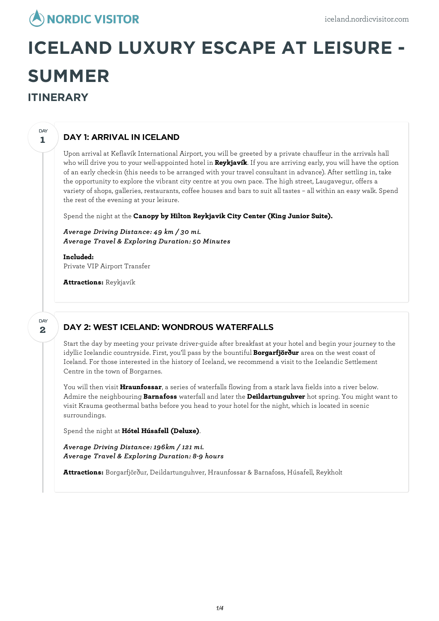

# **ICELAND LUXURY ESCAPE AT LEISURE - SUMMER ITINERARY**

## DAY 1: ARRIVAL IN ICELAND

Upon arrival at Keflavík International Airport, you will be greeted by a private chauffeur in the arrivals hall who will drive you to your well-appointed hotel in **Reykjavík**. If you are arriving early, you will have the option of an early check-in (this needs to be arranged with your travel consultant in advance). After settling in, take the opportunity to explore the vibrant city centre at you own pace. The high street, Laugavegur, offers a variety of shops, galleries, restaurants, coffee houses and bars to suit all tastes – all within an easy walk. Spend the rest of the evening at your leisure.

Spend the night at the **Canopy by Hilton Reykjavik City Center (King Junior Suite).**

*Average Driving Distance: 49 km / 30 mi. Average Travel & Exploring Duration: 50 Minutes*

**Included:** Private VIP Airport Transfer

**Attractions:** Reykjavík

**2** DAY

**1**

DAY

## DAY 2: WEST ICELAND: WONDROUS WATERFALLS

Start the day by meeting your private driver-guide after breakfast at your hotel and begin your journey to the idyllic Icelandic countryside. First, you'll pass by the bountiful **Borgarfjörður** area on the west coast of Iceland. For those interested in the history of Iceland, we recommend a visit to the Icelandic Settlement Centre in the town of Borgarnes.

You will then visit **Hraunfossar**, a series of waterfalls flowing from a stark lava fields into a river below. Admire the neighbouring **Barnafoss** waterfall and later the **Deildartunguhver** hot spring. You might want to visit Krauma geothermal baths before you head to your hotel for the night, which is located in scenic surroundings.

Spend the night at **Hótel Húsafell (Deluxe)**.

*Average Driving Distance: 196km / 121 mi. Average Travel & Exploring Duration: 8-9 hours*

**Attractions:** Borgarfjörður, Deildartunguhver, Hraunfossar & Barnafoss, Húsafell, Reykholt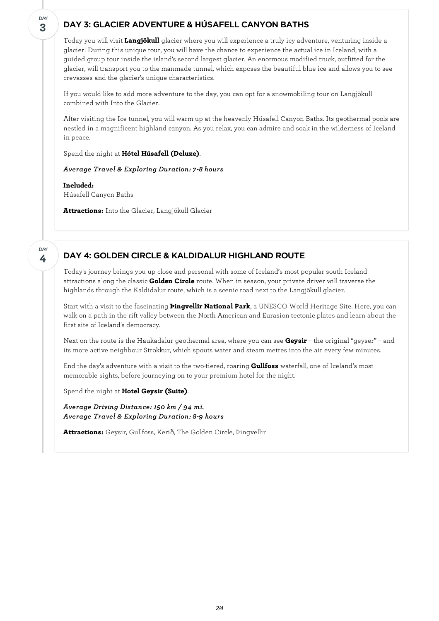# DAY 3: GLACIER ADVENTURE & HÚSAFELL CANYON BATHS

Today you will visit **Langjökull** glacier where you willexperience a truly icy adventure, venturing inside a glacier! During this unique tour, you will have the chance to experience the actual ice in Iceland, with a guided group tour inside the island's second largest glacier. An enormous modified truck, outfitted for the glacier, will transport you to the manmade tunnel, which exposes the beautiful blue ice and allows you to see crevasses and the glacier's unique characteristics.

If you would like to add more adventure to the day, you can opt for a snowmobiling tour on Langjökull combined with Into the Glacier.

After visiting the Ice tunnel, you will warm up at the heavenly Húsafell Canyon Baths. Its geothermal pools are nestled in a magnificent highland canyon. As you relax, you can admire and soak in the wilderness of Iceland in peace.

Spend the night at **Hótel Húsafell (Deluxe)**.

*Average Travel & Exploring Duration: 7-8 hours*

**Included:** Húsafell Canyon Baths

**Attractions:** Into the Glacier, Langjökull Glacier

#### **4 DAY**

**3**

**DAY** 

## DAY 4: GOLDEN CIRCLE & KALDIDALUR HIGHLAND ROUTE

Today's journey brings you up close and personal with some of Iceland's most popular south Iceland attractions along the classic **Golden Circle** route. When in season, your private driver will traverse the highlands through the Kaldidalur route, which is a scenic road next to the Langjökull glacier.

Start with a visit to the fascinating **Þingvellir National Park**, a UNESCO World Heritage Site. Here, you can walk on a path in the rift valley between the North American and Eurasion tectonic plates and learn about the first site of Iceland's democracy.

Next on the route is the Haukadalur geothermal area, where you can see **Geysir** – the original "geyser" – and its more active neighbour Strokkur, which spouts water and steam metres into the air every few minutes.

End the day's adventure with a visit to the two-tiered, roaring **Gullfoss** waterfall, one of Iceland's most memorable sights, before journeying on to your premium hotel for the night.

Spend the night at **Hotel Geysir (Suite)**.

*Average Driving Distance: 150 km / 94 mi. Average Travel & Exploring Duration: 8-9 hours*

**Attractions:** Geysir, Gullfoss, Kerið, The Golden Circle, Þingvellir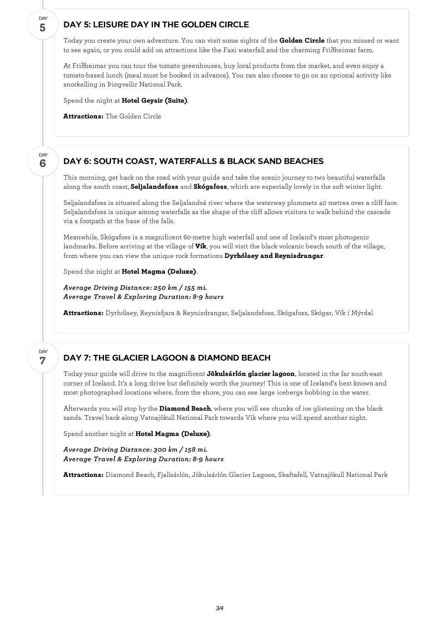## DAY 5: LEISURE DAY IN THE GOLDEN CIRCLE

Today you create your own adventure. You can visit some sights of the **Golden Circle** that you missed or want to see again, or you could add on attractions like the Faxi waterfall and the charming Friðheimar farm.

At Friðheimar you can tour the tomato greenhouses, buy local products from the market, and even enjoy a tomato-based lunch (meal must be booked in advance). You can also choose to go on an optional activity like snorkelling in Þingvellir National Park.

Spend the night at **Hotel Geysir (Suite)**.

**Attractions:** The Golden Circle

#### DAY 6: SOUTH COAST, WATERFALLS & BLACK SAND BEACHES

This morning, get back on the road with your guide and take the scenic journey to two beautiful waterfalls along the south coast, **Seljalandsfoss** and **Skógafoss**, which are especially lovely in the soft winter light.

Seljalandsfoss is situated along the Seljalandsá river where the waterway plummets 40 metres over a cliff face. Seljalandsfoss is unique among waterfalls as the shape of the cliff allows visitors to walk behind the cascade via a footpath at the base of the falls.

Meanwhile, Skógafoss is a magnificent 60-metre high waterfall and one of Iceland's most photogenic landmarks. Before arriving at the village of **Vík**, you will visit the black volcanic beach south of the village, from where you can view the unique rock formations **Dyrhólaey and Reynisdrangar**.

Spend the night at **Hotel Magma (Deluxe)**.

*Average Driving Distance: 250 km / 155 mi. Average Travel & Exploring Duration: 8-9 hours*

**Attractions:** Dyrhólaey, Reynisfjara & Reynisdrangar, Seljalandsfoss, Skógafoss, Skógar, Vík í Mýrdal

#### **7** DAY

**5**

DAY

**6**

**DAY** 

## DAY 7: THE GLACIER LAGOON & DIAMOND BEACH

Today your guide will drive to the magnificent **Jökulsárlón glacier lagoon**, located in the far south-east corner of Iceland. It's a long drive but definitely worth the journey! This is one of Iceland's best known and most photographed locations where, from the shore, you can see large icebergs bobbing in the water.

Afterwards you will stop by the **Diamond Beach**, where you will see chunks of ice glistening on the black sands. Travel back along Vatnajökull National Park towards Vík where you will spend another night.

Spend another night at **Hotel Magma (Deluxe)**.

*Average Driving Distance: 300 km / 158 mi. Average Travel & Exploring Duration: 8-9 hours*

**Attractions:** Diamond Beach, Fjallsárlón, Jökulsárlón Glacier Lagoon, Skaftafell, Vatnajökull National Park